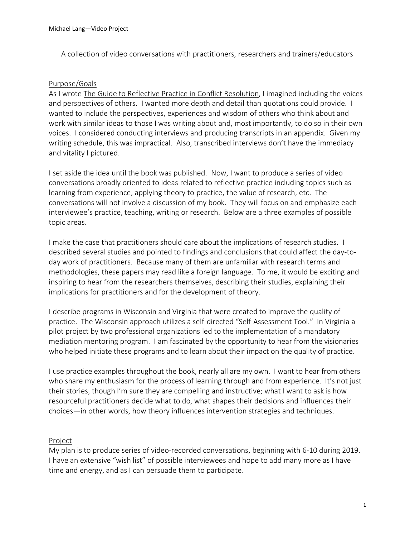A collection of video conversations with practitioners, researchers and trainers/educators

## Purpose/Goals

As I wrote The Guide to Reflective Practice in Conflict Resolution, I imagined including the voices and perspectives of others. I wanted more depth and detail than quotations could provide. I wanted to include the perspectives, experiences and wisdom of others who think about and work with similar ideas to those I was writing about and, most importantly, to do so in their own voices. I considered conducting interviews and producing transcripts in an appendix. Given my writing schedule, this was impractical. Also, transcribed interviews don't have the immediacy and vitality I pictured.

I set aside the idea until the book was published. Now, I want to produce a series of video conversations broadly oriented to ideas related to reflective practice including topics such as learning from experience, applying theory to practice, the value of research, etc. The conversations will not involve a discussion of my book. They will focus on and emphasize each interviewee's practice, teaching, writing or research. Below are a three examples of possible topic areas.

I make the case that practitioners should care about the implications of research studies. I described several studies and pointed to findings and conclusions that could affect the day-today work of practitioners. Because many of them are unfamiliar with research terms and methodologies, these papers may read like a foreign language. To me, it would be exciting and inspiring to hear from the researchers themselves, describing their studies, explaining their implications for practitioners and for the development of theory.

I describe programs in Wisconsin and Virginia that were created to improve the quality of practice. The Wisconsin approach utilizes a self-directed "Self-Assessment Tool." In Virginia a pilot project by two professional organizations led to the implementation of a mandatory mediation mentoring program. I am fascinated by the opportunity to hear from the visionaries who helped initiate these programs and to learn about their impact on the quality of practice.

I use practice examples throughout the book, nearly all are my own. I want to hear from others who share my enthusiasm for the process of learning through and from experience. It's not just their stories, though I'm sure they are compelling and instructive; what I want to ask is how resourceful practitioners decide what to do, what shapes their decisions and influences their choices—in other words, how theory influences intervention strategies and techniques.

## Project

My plan is to produce series of video-recorded conversations, beginning with 6-10 during 2019. I have an extensive "wish list" of possible interviewees and hope to add many more as I have time and energy, and as I can persuade them to participate.